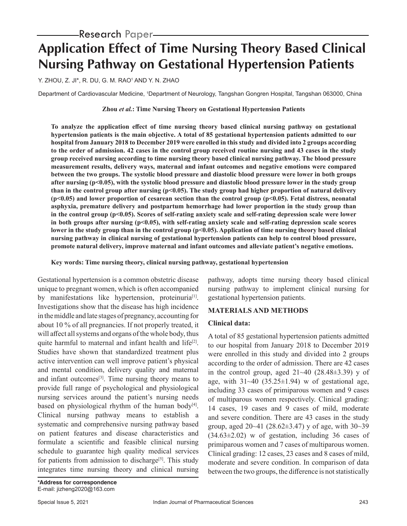## Research Paper

# **Application Effect of Time Nursing Theory Based Clinical Nursing Pathway on Gestational Hypertension Patients**

Y. ZHOU, Z. JI\*, R. DU, G. M. RAO†AND Y. N. ZHAO

Department of Cardiovascular Medicine, 1Department of Neurology, Tangshan Gongren Hospital, Tangshan 063000, China

#### **Zhou** *et al.***: Time Nursing Theory on Gestational Hypertension Patients**

**To analyze the application effect of time nursing theory based clinical nursing pathway on gestational hypertension patients is the main objective. A total of 85 gestational hypertension patients admitted to our hospital from January 2018 to December 2019 were enrolled in this study and divided into 2 groups according to the order of admission. 42 cases in the control group received routine nursing and 43 cases in the study group received nursing according to time nursing theory based clinical nursing pathway. The blood pressure measurement results, delivery ways, maternal and infant outcomes and negative emotions were compared between the two groups. The systolic blood pressure and diastolic blood pressure were lower in both groups after nursing (p<0.05), with the systolic blood pressure and diastolic blood pressure lower in the study group than in the control group after nursing (p<0.05). The study group had higher proportion of natural delivery (p<0.05) and lower proportion of cesarean section than the control group (p<0.05). Fetal distress, neonatal asphyxia, premature delivery and postpartum hemorrhage had lower proportion in the study group than in the control group (p<0.05). Scores of self-rating anxiety scale and self-rating depression scale were lower**  in both groups after nursing (p<0.05), with self-rating anxiety scale and self-rating depression scale scores **lower in the study group than in the control group (p<0.05). Application of time nursing theory based clinical nursing pathway in clinical nursing of gestational hypertension patients can help to control blood pressure, promote natural delivery, improve maternal and infant outcomes and alleviate patient's negative emotions.**

**Key words: Time nursing theory, clinical nursing pathway, gestational hypertension**

Gestational hypertension is a common obstetric disease unique to pregnant women, which is often accompanied by manifestations like hypertension, proteinuria<sup>[1]</sup>. Investigations show that the disease has high incidence in the middle and late stages of pregnancy, accounting for about 10 % of all pregnancies. If not properly treated, it will affect all systems and organs of the whole body, thus quite harmful to maternal and infant health and life<sup>[2]</sup>. Studies have shown that standardized treatment plus active intervention can well improve patient's physical and mental condition, delivery quality and maternal and infant outcomes<sup>[3]</sup>. Time nursing theory means to provide full range of psychological and physiological nursing services around the patient's nursing needs based on physiological rhythm of the human body $[4]$ . Clinical nursing pathway means to establish a systematic and comprehensive nursing pathway based on patient features and disease characteristics and formulate a scientific and feasible clinical nursing schedule to guarantee high quality medical services for patients from admission to discharge<sup>[5]</sup>. This study integrates time nursing theory and clinical nursing pathway, adopts time nursing theory based clinical nursing pathway to implement clinical nursing for gestational hypertension patients.

## **MATERIALS AND METHODS**

#### **Clinical data:**

A total of 85 gestational hypertension patients admitted to our hospital from January 2018 to December 2019 were enrolled in this study and divided into 2 groups according to the order of admission. There are 42 cases in the control group, aged  $21~-40$  (28.48 $\pm 3.39$ ) y of age, with  $31~40$  (35.25 $\pm$ 1.94) w of gestational age, including 33 cases of primiparous women and 9 cases of multiparous women respectively. Clinical grading: 14 cases, 19 cases and 9 cases of mild, moderate and severe condition. There are 43 cases in the study group, aged  $20-41$  (28.62 $\pm$ 3.47) y of age, with 30 $\sim$ 39  $(34.63\pm2.02)$  w of gestation, including 36 cases of primiparous women and 7 cases of multiparous women. Clinical grading: 12 cases, 23 cases and 8 cases of mild, moderate and severe condition. In comparison of data between the two groups, the difference is not statistically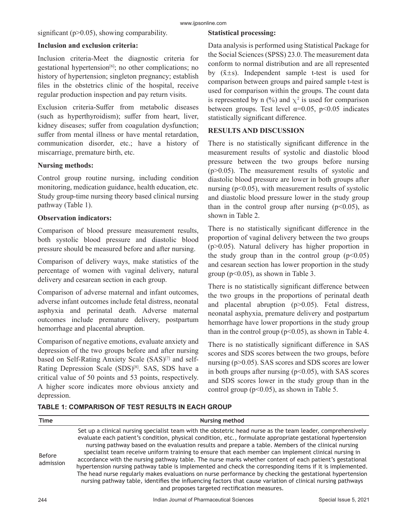significant (p>0.05), showing comparability.

#### **Inclusion and exclusion criteria:**

Inclusion criteria-Meet the diagnostic criteria for gestational hypertension<sup>[6]</sup>; no other complications; no history of hypertension; singleton pregnancy; establish files in the obstetrics clinic of the hospital, receive regular production inspection and pay return visits.

Exclusion criteria-Suffer from metabolic diseases (such as hyperthyroidism); suffer from heart, liver, kidney diseases; suffer from coagulation dysfunction; suffer from mental illness or have mental retardation, communication disorder, etc.; have a history of miscarriage, premature birth, etc.

#### **Nursing methods:**

Control group routine nursing, including condition monitoring, medication guidance, health education, etc. Study group-time nursing theory based clinical nursing pathway (Table 1).

#### **Observation indicators:**

Comparison of blood pressure measurement results, both systolic blood pressure and diastolic blood pressure should be measured before and after nursing.

Comparison of delivery ways, make statistics of the percentage of women with vaginal delivery, natural delivery and cesarean section in each group.

Comparison of adverse maternal and infant outcomes, adverse infant outcomes include fetal distress, neonatal asphyxia and perinatal death. Adverse maternal outcomes include premature delivery, postpartum hemorrhage and placental abruption.

Comparison of negative emotions, evaluate anxiety and depression of the two groups before and after nursing based on Self-Rating Anxiety Scale (SAS)<sup>[7]</sup> and self-Rating Depression Scale (SDS)<sup>[8]</sup>. SAS, SDS have a critical value of 50 points and 53 points, respectively. A higher score indicates more obvious anxiety and depression.

## **Statistical processing:**

Data analysis is performed using Statistical Package for the Social Sciences (SPSS) 23.0. The measurement data conform to normal distribution and are all represented by  $(\bar{x} \pm s)$ . Independent sample t-test is used for comparison between groups and paired sample t-test is used for comparison within the groups. The count data is represented by n  $(\%)$  and  $\chi^2$  is used for comparison between groups. Test level  $\alpha=0.05$ ,  $p<0.05$  indicates statistically significant difference.

## **RESULTS AND DISCUSSION**

There is no statistically significant difference in the measurement results of systolic and diastolic blood pressure between the two groups before nursing (p>0.05). The measurement results of systolic and diastolic blood pressure are lower in both groups after nursing  $(p<0.05)$ , with measurement results of systolic and diastolic blood pressure lower in the study group than in the control group after nursing  $(p<0.05)$ , as shown in Table 2.

There is no statistically significant difference in the proportion of vaginal delivery between the two groups (p>0.05). Natural delivery has higher proportion in the study group than in the control group  $(p<0.05)$ and cesarean section has lower proportion in the study group ( $p<0.05$ ), as shown in Table 3.

There is no statistically significant difference between the two groups in the proportions of perinatal death and placental abruption (p>0.05). Fetal distress, neonatal asphyxia, premature delivery and postpartum hemorrhage have lower proportions in the study group than in the control group ( $p<0.05$ ), as shown in Table 4.

There is no statistically significant difference in SAS scores and SDS scores between the two groups, before nursing (p>0.05). SAS scores and SDS scores are lower in both groups after nursing  $(p<0.05)$ , with SAS scores and SDS scores lower in the study group than in the control group ( $p<0.05$ ), as shown in Table 5.

| Time                       | <b>Nursing method</b>                                                                                                                                                                                                                                                                                                                                                                                                                                                                                                                                                                                                                                                                                                                                                                                                                                                                                                                            |
|----------------------------|--------------------------------------------------------------------------------------------------------------------------------------------------------------------------------------------------------------------------------------------------------------------------------------------------------------------------------------------------------------------------------------------------------------------------------------------------------------------------------------------------------------------------------------------------------------------------------------------------------------------------------------------------------------------------------------------------------------------------------------------------------------------------------------------------------------------------------------------------------------------------------------------------------------------------------------------------|
| <b>Before</b><br>admission | Set up a clinical nursing specialist team with the obstetric head nurse as the team leader, comprehensively<br>evaluate each patient's condition, physical condition, etc., formulate appropriate gestational hypertension<br>nursing pathway based on the evaluation results and prepare a table. Members of the clinical nursing<br>specialist team receive uniform training to ensure that each member can implement clinical nursing in<br>accordance with the nursing pathway table. The nurse marks whether content of each patient's gestational<br>hypertension nursing pathway table is implemented and check the corresponding items if it is implemented.<br>The head nurse regularly makes evaluations on nurse performance by checking the gestational hypertension<br>nursing pathway table, identifies the influencing factors that cause variation of clinical nursing pathways<br>and proposes targeted rectification measures. |

## **TABLE 1: COMPARISON OF TEST RESULTS IN EACH GROUP**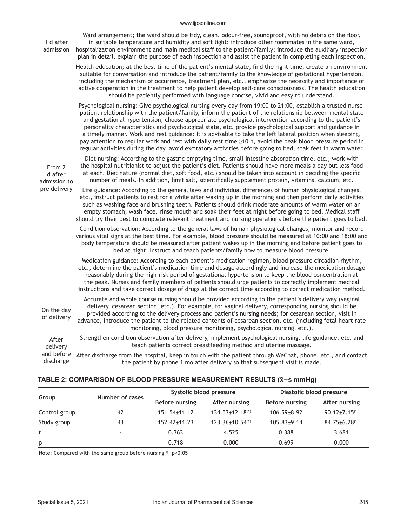#### www.ijpsonline.com

|  | 1 d after<br>admission            | Ward arrangement; the ward should be tidy, clean, odour-free, soundproof, with no debris on the floor,<br>in suitable temperature and humidity and soft light; introduce other roommates in the same ward,<br>hospitalization environment and main medical staff to the patient/family; introduce the auxiliary inspection<br>plan in detail, explain the purpose of each inspection and assist the patient in completing each inspection.                                                                                                                                                                                                                                                                                                                                               |
|--|-----------------------------------|------------------------------------------------------------------------------------------------------------------------------------------------------------------------------------------------------------------------------------------------------------------------------------------------------------------------------------------------------------------------------------------------------------------------------------------------------------------------------------------------------------------------------------------------------------------------------------------------------------------------------------------------------------------------------------------------------------------------------------------------------------------------------------------|
|  |                                   | Health education; at the best time of the patient's mental state, find the right time, create an environment<br>suitable for conversation and introduce the patient/family to the knowledge of gestational hypertension,<br>including the mechanism of occurrence, treatment plan, etc., emphasize the necessity and importance of<br>active cooperation in the treatment to help patient develop self-care consciousness. The health education<br>should be patiently performed with language concise, vivid and easy to understand.                                                                                                                                                                                                                                                    |
|  |                                   | Psychological nursing: Give psychological nursing every day from 19:00 to 21:00, establish a trusted nurse-<br>patient relationship with the patient/family, inform the patient of the relationship between mental state<br>and gestational hypertension, choose appropriate psychological intervention according to the patient's<br>personality characteristics and psychological state, etc. provide psychological support and guidance in<br>a timely manner. Work and rest guidance: It is advisable to take the left lateral position when sleeping,<br>pay attention to regular work and rest with daily rest time ≥10 h, avoid the peak blood pressure period in<br>regular activities during the day, avoid excitatory activities before going to bed, soak feet in warm water. |
|  | From 2<br>d after<br>admission to | Diet nursing: According to the gastric emptying time, small intestine absorption time, etc., work with<br>the hospital nutritionist to adjust the patient's diet. Patients should have more meals a day but less food<br>at each. Diet nature (normal diet, soft food, etc.) should be taken into account in deciding the specific<br>number of meals. In addition, limit salt, scientifically supplement protein, vitamins, calcium, etc.                                                                                                                                                                                                                                                                                                                                               |
|  | pre delivery                      | Life guidance: According to the general laws and individual differences of human physiological changes,<br>etc., instruct patients to rest for a while after waking up in the morning and then perform daily activities<br>such as washing face and brushing teeth. Patients should drink moderate amounts of warm water on an<br>empty stomach; wash face, rinse mouth and soak their feet at night before going to bed. Medical staff<br>should try their best to complete relevant treatment and nursing operations before the patient goes to bed.                                                                                                                                                                                                                                   |
|  |                                   | Condition observation: According to the general laws of human physiological changes, monitor and record<br>various vital signs at the best time. For example, blood pressure should be measured at 10:00 and 18:00 and<br>body temperature should be measured after patient wakes up in the morning and before patient goes to<br>bed at night. Instruct and teach patients/family how to measure blood pressure.                                                                                                                                                                                                                                                                                                                                                                        |
|  |                                   | Medication guidance: According to each patient's medication regimen, blood pressure circadian rhythm,<br>etc., determine the patient's medication time and dosage accordingly and increase the medication dosage<br>reasonably during the high-risk period of gestational hypertension to keep the blood concentration at<br>the peak. Nurses and family members of patients should urge patients to correctly implement medical<br>instructions and take correct dosage of drugs at the correct time according to correct medication method.                                                                                                                                                                                                                                            |
|  | On the day<br>of delivery         | Accurate and whole course nursing should be provided according to the patient's delivery way (vaginal<br>delivery, cesarean section, etc.). For example, for vaginal delivery, corresponding nursing should be<br>provided according to the delivery process and patient's nursing needs; for cesarean section, visit in<br>advance, introduce the patient to the related contents of cesarean section, etc. (including fetal heart rate<br>monitoring, blood pressure monitoring, psychological nursing, etc.).                                                                                                                                                                                                                                                                         |
|  |                                   | Ctrongthen condition observation after delivery implement psychological nursing life quidance atc, and                                                                                                                                                                                                                                                                                                                                                                                                                                                                                                                                                                                                                                                                                   |

After delivery and before After discharge from the hospital, keep in touch with the patient through WeChat, phone, etc., and contact Strengthen condition observation after delivery, implement psychological nursing, life guidance, etc. and teach patients correct breastfeeding method and uterine massage.

discharge the patient by phone 1 mo after delivery so that subsequent visit is made.

#### **TABLE 2: COMPARISON OF BLOOD PRESSURE MEASUREMENT RESULTS (x̄s mmHg)**

|               | Number of cases          |                    | Systolic blood pressure  | Diastolic blood pressure |                        |  |
|---------------|--------------------------|--------------------|--------------------------|--------------------------|------------------------|--|
| Group         |                          | Before nursing     | After nursing            | Before nursing           | After nursing          |  |
| Control group | 42                       | $151.54 \pm 11.12$ | $134.53 \pm 12.18^{(1)}$ | $106.59 \pm 8.92$        | $90.12 \pm 7.15^{(1)}$ |  |
| Study group   | 43                       | $152.42 \pm 11.23$ | $123.36 \pm 10.54^{(1)}$ | $105.83+9.14$            | $84.75 \pm 6.28^{(1)}$ |  |
|               | $\overline{\phantom{a}}$ | 0.363              | 4.525                    | 0.388                    | 3.681                  |  |
| p             | $\overline{\phantom{a}}$ | 0.718              | 0.000                    | 0.699                    | 0.000                  |  |

Note: Compared with the same group before nursing<sup>(1)</sup>, p<0.05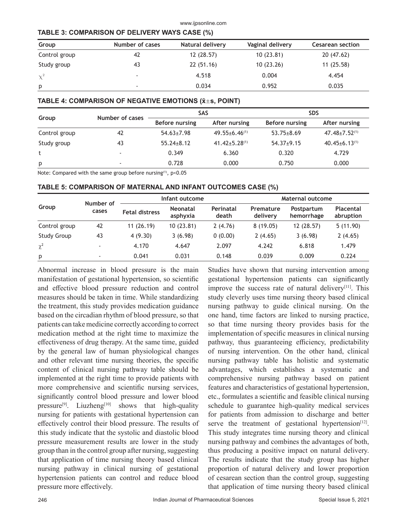#### www.ijpsonline.com

#### **TABLE 3: COMPARISON OF DELIVERY WAYS CASE (%)**

| Group         | Number of cases          | Natural delivery | Vaginal delivery | <b>Cesarean section</b> |
|---------------|--------------------------|------------------|------------------|-------------------------|
| Control group | 42                       | 12 (28.57)       | 10(23.81)        | 20(47.62)               |
| Study group   | 43                       | 22 (51.16)       | 10(23.26)        | 11(25.58)               |
| $\chi^2$      | $\overline{\phantom{a}}$ | 4.518            | 0.004            | 4.454                   |
| p             | $\overline{\phantom{a}}$ | 0.034            | 0.952            | 0.035                   |

#### **TABLE 4: COMPARISON OF NEGATIVE EMOTIONS (x̄s, POINT)**

|               | Number of cases          | <b>SAS</b>       |                        | <b>SDS</b>            |                        |  |
|---------------|--------------------------|------------------|------------------------|-----------------------|------------------------|--|
| Group         |                          | Before nursing   | After nursing          | <b>Before nursing</b> | After nursing          |  |
| Control group | 42                       | $54.63 \pm 7.98$ | $49.55 \pm 6.46^{(1)}$ | $53.75 \pm 8.69$      | $47.48 \pm 7.52^{(1)}$ |  |
| Study group   | 43                       | $55.24 \pm 8.12$ | $41.42 \pm 5.28^{(1)}$ | $54.37+9.15$          | $40.45 \pm 6.13^{(1)}$ |  |
|               | $\overline{\phantom{a}}$ | 0.349            | 6.360                  | 0.320                 | 4.729                  |  |
| p             | $\overline{\phantom{a}}$ | 0.728            | 0.000                  | 0.750                 | 0.000                  |  |

Note: Compared with the same group before nursing<sup>(1)</sup>, p<0.05

#### **TABLE 5: COMPARISON OF MATERNAL AND INFANT OUTCOMES CASE (%)**

|                    | Number of<br>cases | Infant outcome        |                             |                    | Maternal outcome      |                          |                        |
|--------------------|--------------------|-----------------------|-----------------------------|--------------------|-----------------------|--------------------------|------------------------|
| Group              |                    | <b>Fetal distress</b> | <b>Neonatal</b><br>asphyxia | Perinatal<br>death | Premature<br>delivery | Postpartum<br>hemorrhage | Placental<br>abruption |
| Control group      | 42                 | 11(26.19)             | 10(23.81)                   | 2(4.76)            | 8(19.05)              | 12(28.57)                | 5(11.90)               |
| <b>Study Group</b> | 43                 | 4(9.30)               | 3(6.98)                     | 0(0.00)            | 2(4.65)               | 3(6.98)                  | 2(4.65)                |
| $\chi^2$           |                    | 4.170                 | 4.647                       | 2.097              | 4.242                 | 6.818                    | 1.479                  |
| p                  |                    | 0.041                 | 0.031                       | 0.148              | 0.039                 | 0.009                    | 0.224                  |

Abnormal increase in blood pressure is the main manifestation of gestational hypertension, so scientific and effective blood pressure reduction and control measures should be taken in time. While standardizing the treatment, this study provides medication guidance based on the circadian rhythm of blood pressure, so that patients can take medicine correctly according to correct medication method at the right time to maximize the effectiveness of drug therapy. At the same time, guided by the general law of human physiological changes and other relevant time nursing theories, the specific content of clinical nursing pathway table should be implemented at the right time to provide patients with more comprehensive and scientific nursing services, significantly control blood pressure and lower blood pressure<sup>[9]</sup>. Liuzheng<sup>[10]</sup> shows that high-quality nursing for patients with gestational hypertension can effectively control their blood pressure. The results of this study indicate that the systolic and diastolic blood pressure measurement results are lower in the study group than in the control group after nursing, suggesting that application of time nursing theory based clinical nursing pathway in clinical nursing of gestational hypertension patients can control and reduce blood pressure more effectively.

Studies have shown that nursing intervention among gestational hypertension patients can significantly improve the success rate of natural delivery $[11]$ . This study cleverly uses time nursing theory based clinical nursing pathway to guide clinical nursing. On the one hand, time factors are linked to nursing practice, so that time nursing theory provides basis for the implementation of specific measures in clinical nursing pathway, thus guaranteeing efficiency, predictability of nursing intervention. On the other hand, clinical nursing pathway table has holistic and systematic advantages, which establishes a systematic and comprehensive nursing pathway based on patient features and characteristics of gestational hypertension, etc., formulates a scientific and feasible clinical nursing schedule to guarantee high-quality medical services for patients from admission to discharge and better serve the treatment of gestational hypertension $[12]$ . This study integrates time nursing theory and clinical nursing pathway and combines the advantages of both, thus producing a positive impact on natural delivery. The results indicate that the study group has higher proportion of natural delivery and lower proportion of cesarean section than the control group, suggesting that application of time nursing theory based clinical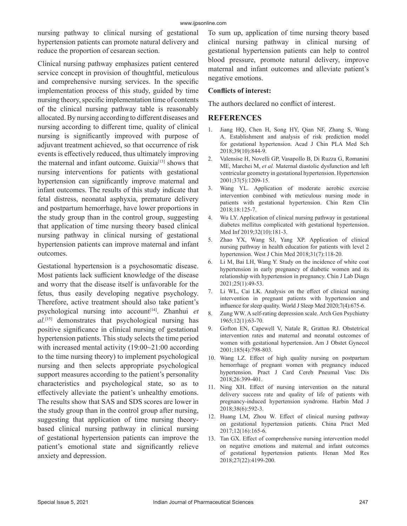nursing pathway to clinical nursing of gestational hypertension patients can promote natural delivery and reduce the proportion of cesarean section.

Clinical nursing pathway emphasizes patient centered service concept in provision of thoughtful, meticulous and comprehensive nursing services. In the specific implementation process of this study, guided by time nursing theory, specific implementation time of contents of the clinical nursing pathway table is reasonably allocated. By nursing according to different diseases and nursing according to different time, quality of clinical nursing is significantly improved with purpose of adjuvant treatment achieved, so that occurrence of risk events is effectively reduced, thus ultimately improving the maternal and infant outcome. Guixia<sup>[13]</sup> shows that nursing interventions for patients with gestational hypertension can significantly improve maternal and infant outcomes. The results of this study indicate that fetal distress, neonatal asphyxia, premature delivery and postpartum hemorrhage, have lower proportions in the study group than in the control group, suggesting that application of time nursing theory based clinical nursing pathway in clinical nursing of gestational hypertension patients can improve maternal and infant outcomes.

Gestational hypertension is a psychosomatic disease. Most patients lack sufficient knowledge of the disease and worry that the disease itself is unfavorable for the fetus, thus easily developing negative psychology. Therefore, active treatment should also take patient's psychological nursing into account[14]. Zhanhui *et al.*[15] demonstrates that psychological nursing has positive significance in clinical nursing of gestational hypertension patients. This study selects the time period with increased mental activity (19:00~21:00 according to the time nursing theory) to implement psychological nursing and then selects appropriate psychological support measures according to the patient's personality characteristics and psychological state, so as to effectively alleviate the patient's unhealthy emotions. The results show that SAS and SDS scores are lower in the study group than in the control group after nursing, suggesting that application of time nursing theorybased clinical nursing pathway in clinical nursing of gestational hypertension patients can improve the patient's emotional state and significantly relieve anxiety and depression.

To sum up, application of time nursing theory based clinical nursing pathway in clinical nursing of gestational hypertension patients can help to control blood pressure, promote natural delivery, improve maternal and infant outcomes and alleviate patient's negative emotions.

#### **Conflicts of interest:**

The authors declared no conflict of interest.

#### **REFERENCES**

- 1. Jiang HQ, Chen H, Song HY, Qian NF, Zhang S, Wang A. Establishment and analysis of risk prediction model for gestational hypertension. Acad J Chin PLA Med Sch 2018;39(10):844-9.
- 2. Valensise H, Novelli GP, Vasapollo B, Di Ruzza G, Romanini ME, Marchei M, *et al.* Maternal diastolic dysfunction and left ventricular geometry in gestational hypertension. Hypertension 2001;37(5):1209-15.
- 3. Wang YL. Application of moderate aerobic exercise intervention combined with meticulous nursing mode in patients with gestational hypertension. Chin Rem Clin 2018;18:125-7.
- 4. Wu LY. Application of clinical nursing pathway in gestational diabetes mellitus complicated with gestational hypertension. Med Inf 2019;32(10):181-3.
- 5. Zhao YX, Wang SJ, Yang XP. Application of clinical nursing pathway in health education for patients with level 2 hypertension. West J Chin Med 2018;31(7):118-20.
- 6. Li M, Bai LH, Wang Y. Study on the incidence of white coat hypertension in early pregnancy of diabetic women and its relationship with hypertension in pregnancy. Chin J Lab Diagn 2021;25(1):49-53.
- 7. Li WL, Cai LK. Analysis on the effect of clinical nursing intervention in pregnant patients with hypertension and influence for sleep quality. World J Sleep Med 2020;7(4):675-6.
- 8. Zung WW. A self-rating depression scale. Arch Gen Psychiatry 1965;12(1):63-70.
- 9. Gofton EN, Capewell V, Natale R, Gratton RJ. Obstetrical intervention rates and maternal and neonatal outcomes of women with gestational hypertension. Am J Obstet Gynecol 2001;185(4):798-803.
- 10. Wang LZ. Effect of high quality nursing on postpartum hemorrhage of pregnant women with pregnancy induced hypertension. Pract J Card Cereb Pneumal Vasc Dis 2018;26:399-401.
- 11. Ning XH. Effect of nursing intervention on the natural delivery success rate and quality of life of patients with pregnancy-induced hypertension syndrome. Harbin Med J 2018;38(6):592-3.
- 12. Huang LM, Zhou W. Effect of clinical nursing pathway on gestational hypertension patients. China Pract Med 2017;12(16):165-6.
- 13. Tan GX. Effect of comprehensive nursing intervention model on negative emotions and maternal and infant outcomes of gestational hypertension patients. Henan Med Res 2018;27(22):4199-200.